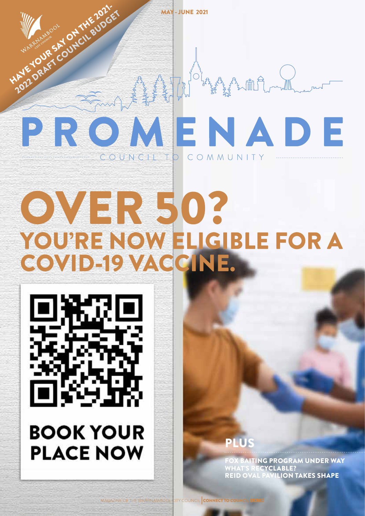

YOU'RE NOW ELIGIBLE FOR A

COVID-19 VACCINE.

MAY - JUNE 2021



HAVE YOUR SAY ON THE 2021 2022 DRAFT COUNCIL BUDGET

> **BOOK YOUR PLACE NOW**

PLUS

**ITING PROGRAM UNDER WAY** ECYCLABLE? REID OVAL PAVILION TAKES SHAPE

MAGAZINE OF THE WARRNAMBOOL CITY COUNCIL CONNECT TO COL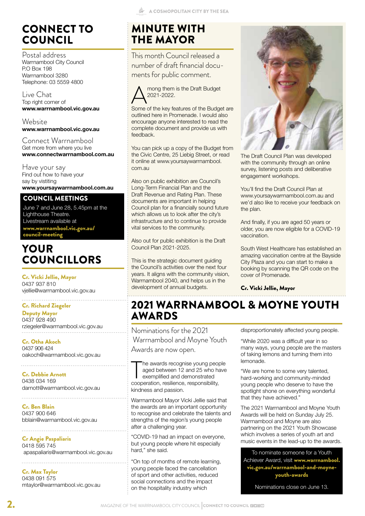## CONNECT TO COUNCIL

Postal address Warrnambool City Council P.O Box 198 Warrnambool 3280 Telephone: 03 5559 4800

#### Live Chat Top right corner of **www.warrnambool.vic.gov.au**

Website **www.warrnambool.vic.gov.au**

Connect Warrnambool Get more from where you live **www.connectwarrnambool.com.au**

Have your say Find out how to have your say by vistiting **www.yoursaywarrnambool.com.au**

#### COUNCIL MEETINGS

June 7 and June 28, 5.45pm at the Lighthouse Theatre. Livestream available at www.warrnambool.vic.gov.au/ council-meeting

### YOUR COUNCILLORS

Cr. Vicki Jellie, Mayor 0437 937 810 vjellie@warrnambool.vic.gov.au

#### . . . . . . . . . . . . . . . . . . Cr. Richard Ziegeler

Deputy Mayor 0437 928 490 rziegeler@warrnambool.vic.gov.au

Cr. Otha Akoch 0437 906 424 oakoch@warrnambool.vic.gov.au

Cr. Debbie Arnott 0438 034 169 darnott@warrnambool.vic.gov.au

Cr. Ben Blain 0437 900 646 bblain@warrnambool.vic.gov.au

Cr Angie Paspaliaris 0418 595 745 apaspaliaris@warrnambool.vic.gov.au

Cr. Max Taylor 0438 091 575 mtaylor@warrnambool.vic.gov.au

## MINUTE WITH THE MAYOR

This month Council released a number of draft financial documents for public comment.



outlined here in Promenade. I would also encourage anyone interested to read the complete document and provide us with feedback.

You can pick up a copy of the Budget from the Civic Centre, 25 Liebig Street, or read it online at www.yoursaywarrnambool. com.au

Also on public exhibition are Council's Long-Term Financial Plan and the Draft Revenue and Rating Plan. These documents are important in helping Council plan for a financially sound future which allows us to look after the city's infrastructure and to continue to provide vital services to the community.

Also out for public exhibition is the Draft Council Plan 2021-2025.

This is the strategic document guiding the Council's activities over the next four years. It aligns with the community vision, Warrnambool 2040, and helps us in the development of annual budgets.



The Draft Council Plan was developed with the community through an online survey, listening posts and deliberative engagement workshops.

You'll find the Draft Council Plan at www.yoursaywarrnambool.com.au and we'd also like to receive your feedback on the plan.

And finally, if you are aged 50 years or older, you are now eligible for a COVID-19 vaccination.

South West Healthcare has established an amazing vaccination centre at the Bayside City Plaza and you can start to make a booking by scanning the QR code on the cover of Promenade.

#### Cr. Vicki Jellie, Mayor

## 2021 WARRNAMBOOL & MOYNE YOUTH AWARDS

Nominations for the 2021 Warrnambool and Moyne Youth Awards are now open.

The awards recognise young peoplaged between 12 and 25 who have exemplified and demonstrated cooperation, resilience, responsibility, he awards recognise young people aged between 12 and 25 who have exemplified and demonstrated kindness and passion.

Warrnambool Mayor Vicki Jellie said that the awards are an important opportunity to recognise and celebrate the talents and strengths of the region's young people after a challenging year.

"COVID-19 had an impact on everyone, but young people where hit especially hard," she said.

"On top of months of remote learning, young people faced the cancellation of sport and other activities, reduced social connections and the impact on the hospitality industry which

disproportionately affected young people.

"While 2020 was a difficult year in so many ways, young people are the masters of taking lemons and turning them into lemonade.

"We are home to some very talented, hard-working and community-minded young people who deserve to have the spotlight shone on everything wonderful that they have achieved."

The 2021 Warrnambool and Moyne Youth Awards will be held on Sunday July 25. Warrnambool and Moyne are also partnering on the 2021 Youth Showcase which involves a series of youth art and music events in the lead-up to the awards.

To nominate someone for a Youth Achiever Award, visit www.warrnambool. vic.gov.au/warrnambool-and-moyneyouth-awards

Nominations close on June 13.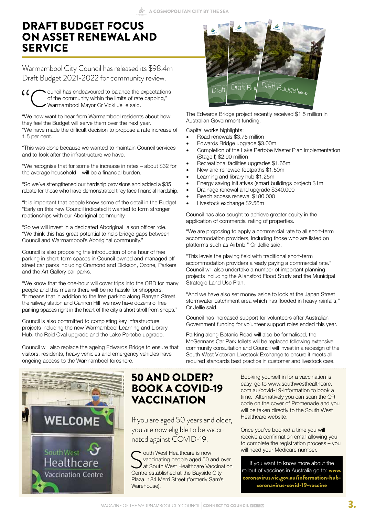#### DRAFT BUDGET FOCUS ON ASSET RENEWAL AND **SERVICE**

Warrnambool City Council has released its \$98.4m Draft Budget 2021-2022 for community review.

 $\omega$  ouncil has endeavoured to balance the expectations of the community within the limits of rate capping," Warrnambool Mayor Cr Vicki Jellie said.

"We now want to hear from Warrnambool residents about how they feel the Budget will serve them over the next year. "We have made the difficult decision to propose a rate increase of 1.5 per cent.

"This was done because we wanted to maintain Council services and to look after the infrastructure we have.

"We recognise that for some the increase in rates – about \$32 for the average household – will be a financial burden.

"So we've strengthened our hardship provisions and added a \$35 rebate for those who have demonstrated they face financial hardship.

"It is important that people know some of the detail in the Budget. "Early on this new Council indicated it wanted to form stronger relationships with our Aboriginal community.

"So we will invest in a dedicated Aboriginal liaison officer role. "We think this has great potential to help bridge gaps between Council and Warrnambool's Aboriginal community."

Council is also proposing the introduction of one hour of free parking in short-term spaces in Council owned and managed offstreet car parks including Cramond and Dickson, Ozone, Parkers and the Art Gallery car parks.

"We know that the one-hour will cover trips into the CBD for many people and this means there will be no hassle for shoppers. "It means that in addition to the free parking along Banyan Street, the railway station and Cannon Hill we now have dozens of free parking spaces right in the heart of the city a short stroll from shops."

Council is also committed to completing key infrastructure projects including the new Warrnambool Learning and Library Hub, the Reid Oval upgrade and the Lake Pertobe upgrade.

Council will also replace the ageing Edwards Bridge to ensure that visitors, residents, heavy vehicles and emergency vehicles have ongoing access to the Warrnambool foreshore.



#### 50 AND OLDER? BOOK A COVID-19 VACCINATION

If you are aged 50 years and older, you are now eligible to be vaccinated against COVID-19.

**South West Healthcare is now Vaccinating people aged 50 a**<br>at South West Healthcare Vaccentre established at the Bayside vaccinating people aged 50 and over at South West Healthcare Vaccination Centre established at the Bayside City Plaza, 184 Merri Street (formerly Sam's Warehouse).



The Edwards Bridge project recently received \$1.5 million in Australian Government funding.

Capital works highlights:

- Road renewals \$3.75 million
- Edwards Bridge upgrade \$3.00m
- Completion of the Lake Pertobe Master Plan implementation (Stage I) \$2.90 million
- Recreational facilities upgrades \$1.65m
- New and renewed footpaths \$1.50m
- Learning and library hub \$1.25m
- Energy saving initiatives (smart buildings project) \$1m
- Drainage renewal and upgrade \$340,000
- Beach access renewal \$180,000
- Livestock exchange \$2.56m

Council has also sought to achieve greater equity in the application of commercial rating of properties.

"We are proposing to apply a commercial rate to all short-term accommodation providers, including those who are listed on platforms such as Airbnb," Cr Jellie said.

"This levels the playing field with traditional short-term accommodation providers already paying a commercial rate." Council will also undertake a number of important planning projects including the Allansford Flood Study and the Municipal Strategic Land Use Plan.

"And we have also set money aside to look at the Japan Street stormwater catchment area which has flooded in heavy rainfalls," Cr Jellie said.

Council has increased support for volunteers after Australian Government funding for volunteer support roles ended this year.

Parking along Botanic Road will also be formalised, the McGennans Car Park toilets will be replaced following extensive community consultation and Council will invest in a redesign of the South-West Victorian Livestock Exchange to ensure it meets all required standards best practice in customer and livestock care.

> Booking yourself in for a vaccination is easy, go to www.southwesthealthcare. com.au/covid-19-information to book a time. Alternatively you can scan the QR code on the cover of Promenade and you will be taken directly to the South West Healthcare website.

> Once you've booked a time you will receive a confirmation email allowing you to complete the registration process – you will need your Medicare number.

> If you want to know more about the rollout of vaccines in Australia go to: www. coronavirus.vic.gov.au/information-hubcoronavirus-covid-19-vaccine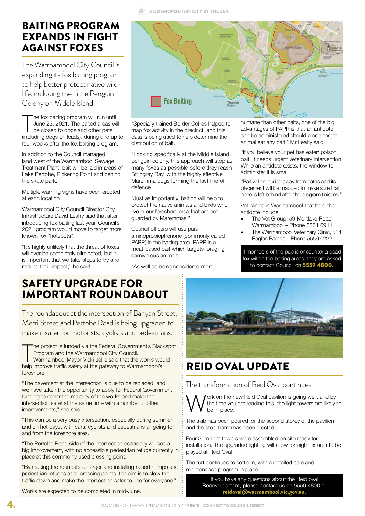#### BAITING PROGRAM EXPANDS IN FIGHT AGAINST FOXES

The Warrnambool City Council is expanding its fox baiting program to help better protect native wildlife, including the Little Penguin Colony on Middle Island.

The fox baiting program will run until<br>June 23, 2021. The baited areas will<br>be closed to dogs and other pets<br>(including dogs on leads), during and up to he fox baiting program will run until June 23, 2021. The baited areas will be closed to dogs and other pets four weeks after the fox baiting program.

In addition to the Council managed land west of the Warrnambool Sewage Treatment Plant, bait will be laid in areas of Lake Pertobe, Pickering Point and behind the skate park.

Multiple warning signs have been erected at each location.

Warrnambool City Council Director City Infrastructure David Leahy said that after introducing fox baiting last year, Council's 2021 program would move to target more known fox "hotspots".

"It's highly unlikely that the threat of foxes will ever be completely eliminated, but it is important that we take steps to try and reduce their impact," he said.



"Specially trained Border Collies helped to map fox activity in the precinct, and this data is being used to help determine the distribution of bait.

"Looking specifically at the Middle Island penguin colony, this approach will stop as many foxes as possible before they reach Stringray Bay, with the highly effective Maremma dogs forming the last line of defence.

"Just as importantly, baiting will help to protect the native animals and birds who live in our foreshore area that are not guarded by Maremmas."

Council officers will use paraaminopropiophenone (commonly called PAPP) in the baiting area. PAPP is a meat-based bait which targets foraging carnivorous animals.

"As well as being considered more

humane than other baits, one of the big advantages of PAPP is that an antidote can be administered should a non-target animal eat any bait," Mr Leahy said.

"If you believe your pet has eaten poison bait, it needs urgent veterinary intervention. While an antidote exists, the window to administer it is small.

"Bait will be buried away from paths and its placement will be mapped to make sure that none is left behind after the program finishes."

Vet clinics in Warrnambool that hold the antidote include:

- The Vet Group, 59 Mortlake Road Warrnambool – Phone 5561 6911
- The Warrnambool Veterinary Clinic, 514 Raglan Parade – Phone 5559 0222

If members of the public encounter a dead fox within the baiting areas, they are asked to contact Council on 5559 4800.

### SAFETY UPGRADE FOR IMPORTANT ROUNDABOUT

The roundabout at the intersection of Banyan Street, Merri Street and Pertobe Road is being upgraded to make it safer for motorists, cyclists and pedestrians.

The project is funded via the Federal Government's Black<br>Program and the Warrnambool City Council.<br>Warrnambool Mayor Vicki Jellie said that the works wor<br>help improve traffic safety at the gateway to Warrnambool's he project is funded via the Federal Government's Blackspot Program and the Warrnambool City Council.

Warrnambool Mayor Vicki Jellie said that the works would foreshore.

"The pavement at the intersection is due to be replaced, and we have taken the opportunity to apply for Federal Government funding to cover the majority of the works and make the intersection safer at the same time with a number of other improvements," she said.

"This can be a very busy intersection, especially during summer and on hot days, with cars, cyclists and pedestrians all going to and from the foreshore area.

"The Pertobe Road side of the intersection especially will see a big improvement, with no accessible pedestrian refuge currently in place at this commonly used crossing point.

"By making the roundabout larger and installing raised humps and pedestrian refuges at all crossing points, the aim is to slow the traffic down and make the intersection safer to use for everyone."

Works are expected to be completed in mid-June.



## REID OVAL UPDATE

The transformation of Reid Oval continues.

be in place.

Work on the new Reid Oval pavilion is going well, and by the time you are reading this, the light towers are likely be in place. the time you are reading this, the light towers are likely to

The slab has been poured for the second storey of the pavilion and the steel frame has been erected.

Four 30m light towers were assembled on site ready for installation. The upgraded lighting will allow for night fixtures to be played at Reid Oval.

The turf continues to settle in, with a detailed care and maintenance program in place.

> If you have any questions about the Reid oval Redevelopment, please contact us on 5559 4800 or reidoval@warrnambool.vic.gov.au.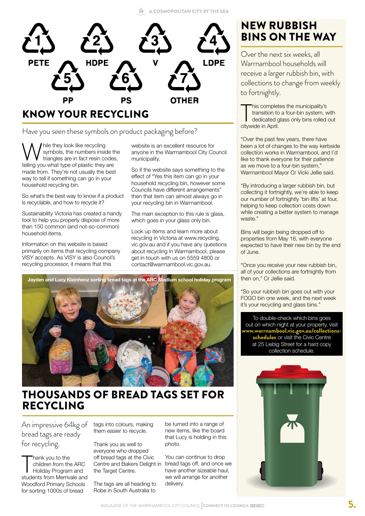

Have you seen these symbols on product packaging before?

While they look like recycling<br>triangles are in fact resin codes<br>telling you what type of plastic they are symbols, the numbers inside the triangles are in fact resin codes, made from. They're not usually the best way to tell if something can go in your household recycling bin.

So what's the best way to know if a product is recyclable, and how to recycle it?

Sustainability Victoria has created a handy tool to help you properly dispose of more than 150 common (and not-so-common) household items.

Information on this website is based primarily on items that recycling company VISY accepts. As VISY is also Council's recycling processor, it means that this 

website is an excellent resource for anyone in the Warrnambool City Council municipality.

So if the website says something to the effect of "Yes this item can go in your household recycling bin, however some Councils have different arrangements" then that item can almost always go in your recycling bin in Warrnambool.

The main exception to this rule is glass, which goes in your glass only bin.

Look up items and learn more about recycling in Victoria at www.recycling. vic.gov.au and if you have any questions about recycling in Warrnambool, please get in touch with us on 5559 4800 or contact@warrnambool.vic.gov.au.

**Jayden and Lucy Kleinhenz sorting bread tags at the ARC Stadium school holiday program**

### THOUSANDS OF BREAD TAGS SET FOR RECYCLING

An impressive 64kg of bread tags are ready for recycling.

Thank you to the<br>children from the ARC<br>Holiday Program and<br>students from Merrivale and hank you to the children from the ARC Holiday Program and Woodford Primary Schools for sorting 1000s of bread

tags into colours, making them easier to recycle.

Thank you as well to everyone who dropped off bread tags at the Civic Centre and Bakers Delight in the Target Centre.

The tags are all heading to Robe in South Australia to

be turned into a range of new items, like the board that Lucy is holding in this photo.

You can continue to drop bread tags off, and once we have another sizeable haul, we will arrange for another delivery.

## NEW RUBBISH BINS ON THE WAY

Over the next six weeks, all Warrnambool households will receive a larger rubbish bin, with collections to change from weekly to fortnightly.

his complet<br>transition to<br>dedicated g<br>citywide in April. his completes the municipality's transition to a four-bin system, with dedicated glass only bins rolled out

"Over the past few years, there have been a lot of changes to the way kerbside collection works in Warrnambool, and I'd like to thank everyone for their patience as we move to a four-bin system," Warrnambool Mayor Cr Vicki Jellie said.

"By introducing a larger rubbish bin, but collecting it fortnightly, we're able to keep our number of fortnightly 'bin lifts' at four, helping to keep collection costs down while creating a better system to manage waste."

Bins will begin being dropped off to properties from May 16, with everyone expected to have their new bin by the end of June.

"Once you receive your new rubbish bin, all of your collections are fortnightly from then on," Cr Jellie said.

"So your rubbish bin goes out with your FOGO bin one week, and the next week it's your recycling and glass bins."

To double-check which bins goes out on which night at your property, visit www.warrnambool.vic.gov.au/collectionsschedules or visit the Civic Centre at 25 Liebig Street for a hard copy collection schedule.

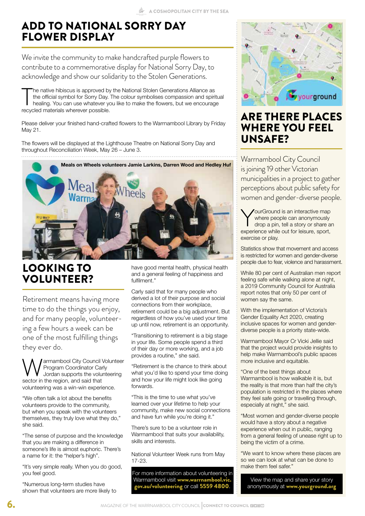### ADD TO NATIONAL SORRY DAY FLOWER DISPLAY

We invite the community to make handcrafted purple flowers to contribute to a commemorative display for National Sorry Day, to acknowledge and show our solidarity to the Stolen Generations.

The native hibiscus is approved by<br>the official symbol for Sorry Day.<br>healing. You can use whatever your<br>recycled materials wherever possible. he native hibiscus is approved by the National Stolen Generations Alliance as the official symbol for Sorry Day. The colour symbolises compassion and spiritual healing. You can use whatever you like to make the flowers, but we encourage

Please deliver your finished hand-crafted flowers to the Warrnambool Library by Friday May 21.

The flowers will be displayed at the Lighthouse Theatre on National Sorry Day and throughout Reconciliation Week, May 26 – June 3. 



# LOOKING TO VOLUNTEER?

Retirement means having more time to do the things you enjoy, and for many people, volunteering a few hours a week can be one of the most fulfilling things they ever do.

arrnambool City Council Volunteer Program Coordinator Carly Jordan supports the volunteering sector in the region, and said that volunteering was a win-win experience.

"We often talk a lot about the benefits volunteers provide to the community, but when you speak with the volunteers themselves, they truly love what they do," she said.

"The sense of purpose and the knowledge that you are making a difference in someone's life is almost euphoric. There's a name for it: the "helper's high".

"It's very simple really. When you do good, you feel good.

"Numerous long-term studies have shown that volunteers are more likely to have good mental health, physical health and a general feeling of happiness and fulfilment."

Carly said that for many people who derived a lot of their purpose and social connections from their workplace, retirement could be a big adjustment. But regardless of how you've used your time up until now, retirement is an opportunity.

"Transitioning to retirement is a big stage in your life. Some people spend a third of their day or more working, and a job provides a routine," she said.

"Retirement is the chance to think about what you'd like to spend your time doing and how your life might look like going forwards.

"This is the time to use what you've learned over your lifetime to help your community, make new social connections and have fun while you're doing it."

There's sure to be a volunteer role in Warrnambool that suits your availability, skills and interests.

National Volunteer Week runs from May 17-23.

For more information about volunteering in Warrnambool visit www.warrnambool.vic gov.au/volunteering or call 5559 4800.



#### ARE THERE PLACES WHERE YOU FEEL UNSAFE?

Warrnambool City Council is joining 19 other Victorian municipalities in a project to gather perceptions about public safety for women and gender-diverse people.

YourGround is an interactive map<br>where people can anonymously<br>drop a pin, tell a story or share a<br>experience while out for leisure, sport. where people can anonymously drop a pin, tell a story or share an experience while out for leisure, sport, exercise or play.

Statistics show that movement and access is restricted for women and gender-diverse people due to fear, violence and harassment.

While 80 per cent of Australian men report feeling safe while walking alone at night, a 2019 Community Council for Australia report notes that only 50 per cent of women say the same.

With the implementation of Victoria's Gender Equality Act 2020, creating inclusive spaces for women and genderdiverse people is a priority state-wide.

Warrnambool Mayor Cr Vicki Jellie said that the project would provide insights to help make Warrnambool's public spaces more inclusive and equitable.

"One of the best things about Warrnambool is how walkable it is, but the reality is that more than half the city's population is restricted in the places where they feel safe going or travelling through, especially at night," she said.

"Most women and gender-diverse people would have a story about a negative experience when out in public, ranging from a general feeling of unease right up to being the victim of a crime.

"We want to know where these places are so we can look at what can be done to make them feel safer."

View the map and share your story anonymously at www.yourground.org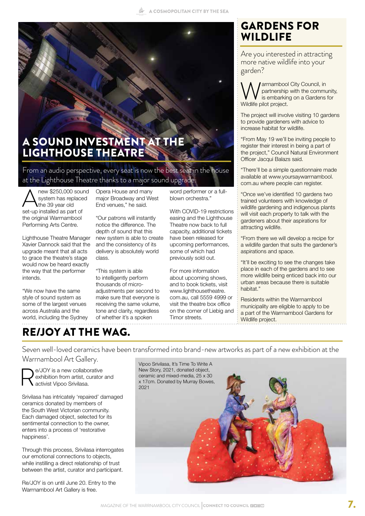

### A SOUND INVESTMENT AT THE LIGHTHOUSE THEATRE

From an audio perspective, every seat is now the best seat in the house at the Lighthouse Theatre thanks to a major sound upgrade.

 $\bigwedge_{\text{system has replaced}}^{\text{new $250,000 sound}}$ <br>set-up installed as part of system has replaced the 39 year old set-up installed as part of the original Warrnambool Performing Arts Centre.

Lighthouse Theatre Manager Xavier Dannock said that the upgrade meant that all acts to grace the theatre's stage would now be heard exactly the way that the performer intends.

"We now have the same style of sound system as some of the largest venues across Australia and the world, including the Sydney

### RE/JOY AT THE WAG.

Opera House and many major Broadway and West End venues," he said.

"Our patrons will instantly notice the difference. The depth of sound that this new system is able to create and the consistency of its delivery is absolutely world class.

"This system is able to intelligently perform thousands of microadjustments per second to make sure that everyone is receiving the same volume, tone and clarity, regardless of whether it's a spoken

word performer or a fullblown orchestra."

With COVID-19 restrictions easing and the Lighthouse Theatre now back to full capacity, additional tickets have been released for upcoming performances, some of which had previously sold out.

For more information about upcoming shows, and to book tickets, visit www.lighthousetheatre. com.au, call 5559 4999 or visit the theatre box office on the corner of Liebig and Timor streets.

### GARDENS FOR **WILDLIFE**

Are you interested in attracting more native wildlife into your garden?

**Warrnambool City Council, in**<br>is embarking on a Gardens<br>Wildlife pilot project. partnership with the community, is embarking on a Gardens for Wildlife pilot project.

The project will involve visiting 10 gardens to provide gardeners with advice to increase habitat for wildlife.

"From May 19 we'll be inviting people to register their interest in being a part of the project," Council Natural Environment Officer Jacqui Balazs said.

"There'll be a simple questionnaire made available at www.yoursaywarrnambool. com.au where people can register.

"Once we've identified 10 gardens two trained volunteers with knowledge of wildlife gardening and indigenous plants will visit each property to talk with the gardeners about their aspirations for attracting wildlife.

"From there we will develop a recipe for a wildlife garden that suits the gardener's aspirations and space.

"It'll be exciting to see the changes take place in each of the gardens and to see more wildlife being enticed back into our urban areas because there is suitable habitat."

Residents within the Warrnambool municipality are eligible to apply to be a part of the Warrnambool Gardens for Wildlife project.

Seven well-loved ceramics have been transformed into brand-new artworks as part of a new exhibition at the Warrnambool Art Gallery.



e/JOY is a new collaborative exhibition from artist, curator and activist Vipoo Srivilasa.

Srivilasa has intricately 'repaired' damaged ceramics donated by members of the South West Victorian community. Each damaged object, selected for its sentimental connection to the owner, enters into a process of 'restorative happiness'.

Through this process, Srivilasa interrogates our emotional connections to objects, while instilling a direct relationship of trust between the artist, curator and participant.

Re/JOY is on until June 20. Entry to the Warrnambool Art Gallery is free.

Vipoo Srivilasa, It's Time To Write A New Story, 2021, donated object, ceramic and mixed-media, 25 x 30 x 17cm. Donated by Murray Bowes, 2021